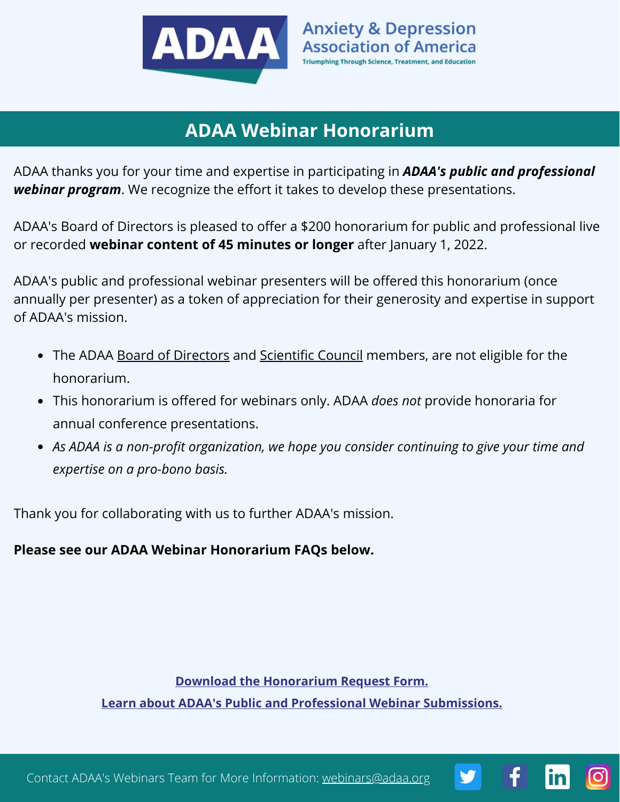

# **ADAA Webinar Honorarium**

ADAA thanks you for your time and expertise in participating in *ADAA's public and professional webinar program*. We recognize the effort it takes to develop these presentations.

ADAA's Board of Directors is pleased to offer a \$200 honorarium for public and professional live or recorded **webinar content of 45 minutes or longer** after January 1, 2022.

ADAA's public and professional webinar presenters will be offered this honorarium (once annually per presenter) as a token of appreciation for their generosity and expertise in support of ADAA's mission.

- The ADAA Board of [Directors](https://adaa.org/about-adaa/board-directors) and [Scientific](https://adaa.org/professionals/committees-sigs/scientific-council) Council members, are not eligible for the honorarium.
- This honorarium is offered for webinars only. ADAA *does not* provide honoraria for annual conference presentations.
- *As ADAA is a non-profit organization, we hope you consider continuing to give your time and expertise on a pro-bono basis.*

Thank you for collaborating with us to further ADAA's mission.

**Please see our ADAA Webinar Honorarium FAQs below.**

**[Learn about ADAA's Public and Professional Webinar Submissions.](https://adaa.org/professionals/education/webinar-submissions) [Download the Honorarium Request Form.](https://adaa.org/sites/default/files/2021-12/ADAA%20Speaker%20Honorarium%20Request%20Form.pdf)**